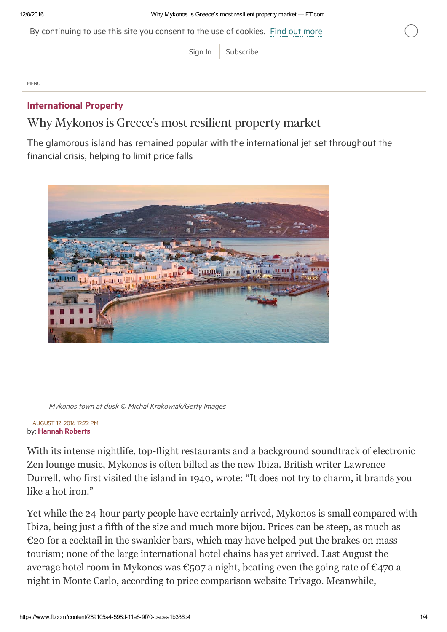By continuing to use this site you consent to the use of cookies. Find out [more](http://help.ft.com/tools-services/how-the-ft-manages-cookies-on-its-websites/)

[Sign](https://www.ft.com/login?location=%2Fcontent%2F289105a4-598d-11e6-9f70-badea1b336d4) In | [Subscribe](https://www.ft.com/products?segID=400863&segmentID=190b4443-dc03-bd53-e79b-b4b6fbd04e64)

**MENU** 

## [International](https://www.ft.com/stream/sectionsId/OWY5ZDg3ZTMtNmFkNS00ZGY5LWJkMDktOTE4YjA2MDE5OWZm-U2VjdGlvbnM=) Property

## Why Mykonos is Greece's most resilient property market

The glamorous island has remained popular with the international jet set throughout the financial crisis, helping to limit price falls



Mykonos town at dusk © Michal Krakowiak/Getty Images

by: Hannah [Roberts](https://www.ft.com/stream/authorsId/NTE4M2Q2NzQtN2JhYS00M2I5LWEzYTgtYWM0OTNjZTc4NGY1-QXV0aG9ycw==) AUGUST 12, 2016 12:22 PM

With its intense nightlife, top-flight restaurants and a background soundtrack of electronic Zen lounge music, Mykonos is often billed as the new Ibiza. British writer Lawrence Durrell, who first visited the island in 1940, wrote: "It does not try to charm, it brands you like a hot iron."

Yet while the 24-hour party people have certainly arrived, Mykonos is small compared with Ibiza, being just a fifth of the size and much more bijou. Prices can be steep, as much as  $\epsilon$ 20 for a cocktail in the swankier bars, which may have helped put the brakes on mass tourism; none of the large international hotel chains has yet arrived. Last August the average hotel room in Mykonos was  $\epsilon$ 507 a night, beating even the going rate of  $\epsilon$ 470 a night in Monte Carlo, according to price comparison website Trivago. Meanwhile,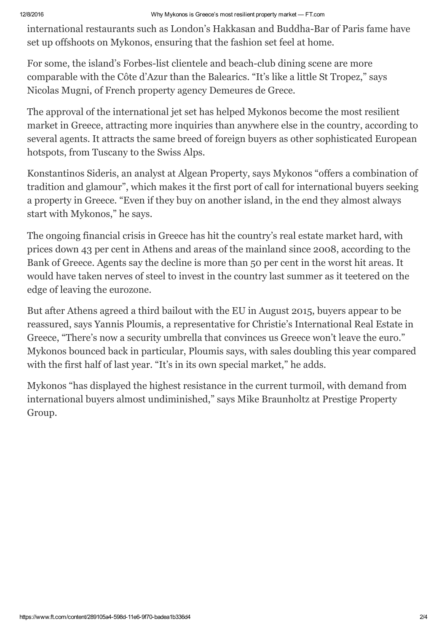international restaurants such as London's Hakkasan and Buddha-Bar of Paris fame have set up offshoots on Mykonos, ensuring that the fashion set feel at home.

For some, the island's Forbes-list clientele and beach-club dining scene are more comparable with the Côte d'Azur than the Balearics. "It's like a little St Tropez," says Nicolas Mugni, of French property agency Demeures de Grece.

The approval of the international jet set has helped Mykonos become the most resilient market in Greece, attracting more inquiries than anywhere else in the country, according to several agents. It attracts the same breed of foreign buyers as other sophisticated European hotspots, from Tuscany to the Swiss Alps.

Konstantinos Sideris, an analyst at Algean Property, says Mykonos "offers a combination of tradition and glamour", which makes it the first port of call for international buyers seeking a property in Greece. "Even if they buy on another island, in the end they almost always start with Mykonos," he says.

The ongoing financial crisis in Greece has hit the country's real estate market hard, with prices down 43 per cent in Athens and areas of the mainland since 2008, according to the Bank of Greece. Agents say the decline is more than 50 per cent in the worst hit areas. It would have taken nerves of steel to invest in the country last summer as it teetered on the edge of leaving the eurozone.

But after Athens agreed a third bailout with the EU in August 2015, buyers appear to be reassured, says Yannis Ploumis, a representative for Christie's International Real Estate in Greece, "There's now a security umbrella that convinces us Greece won't leave the euro." Mykonos bounced back in particular, Ploumis says, with sales doubling this year compared with the first half of last year. "It's in its own special market," he adds.

Mykonos "has displayed the highest resistance in the current turmoil, with demand from international buyers almost undiminished," says Mike Braunholtz at Prestige Property Group.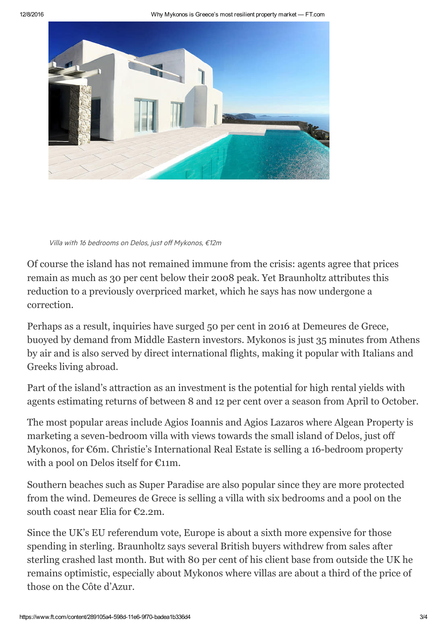

Villa with 16 bedrooms on Delos, just off Mykonos, €12m

Of course the island has not remained immune from the crisis: agents agree that prices remain as much as 30 per cent below their 2008 peak. Yet Braunholtz attributes this reduction to a previously overpriced market, which he says has now undergone a correction.

Perhaps as a result, inquiries have surged 50 per cent in 2016 at Demeures de Grece, buoyed by demand from Middle Eastern investors. Mykonos is just 35 minutes from Athens by air and is also served by direct international flights, making it popular with Italians and Greeks living abroad.

Part of the island's attraction as an investment is the potential for high rental yields with agents estimating returns of between 8 and 12 per cent over a season from April to October.

The most popular areas include Agios Ioannis and Agios Lazaros where Algean Property is marketing a seven-bedroom villa with views towards the small island of Delos, just off Mykonos, for  $\epsilon$ 6m. Christie's International Real Estate is selling a 16-bedroom property with a pool on Delos itself for  $E_1$ 1m.

Southern beaches such as Super Paradise are also popular since they are more protected from the wind. Demeures de Grece is selling a villa with six bedrooms and a pool on the south coast near Elia for €2.2m.

Since the UK's EU referendum vote, Europe is about a sixth more expensive for those spending in sterling. Braunholtz says several British buyers withdrew from sales after sterling crashed last month. But with 80 per cent of his client base from outside the UK he remains optimistic, especially about Mykonos where villas are about a third of the price of those on the Côte d'Azur.